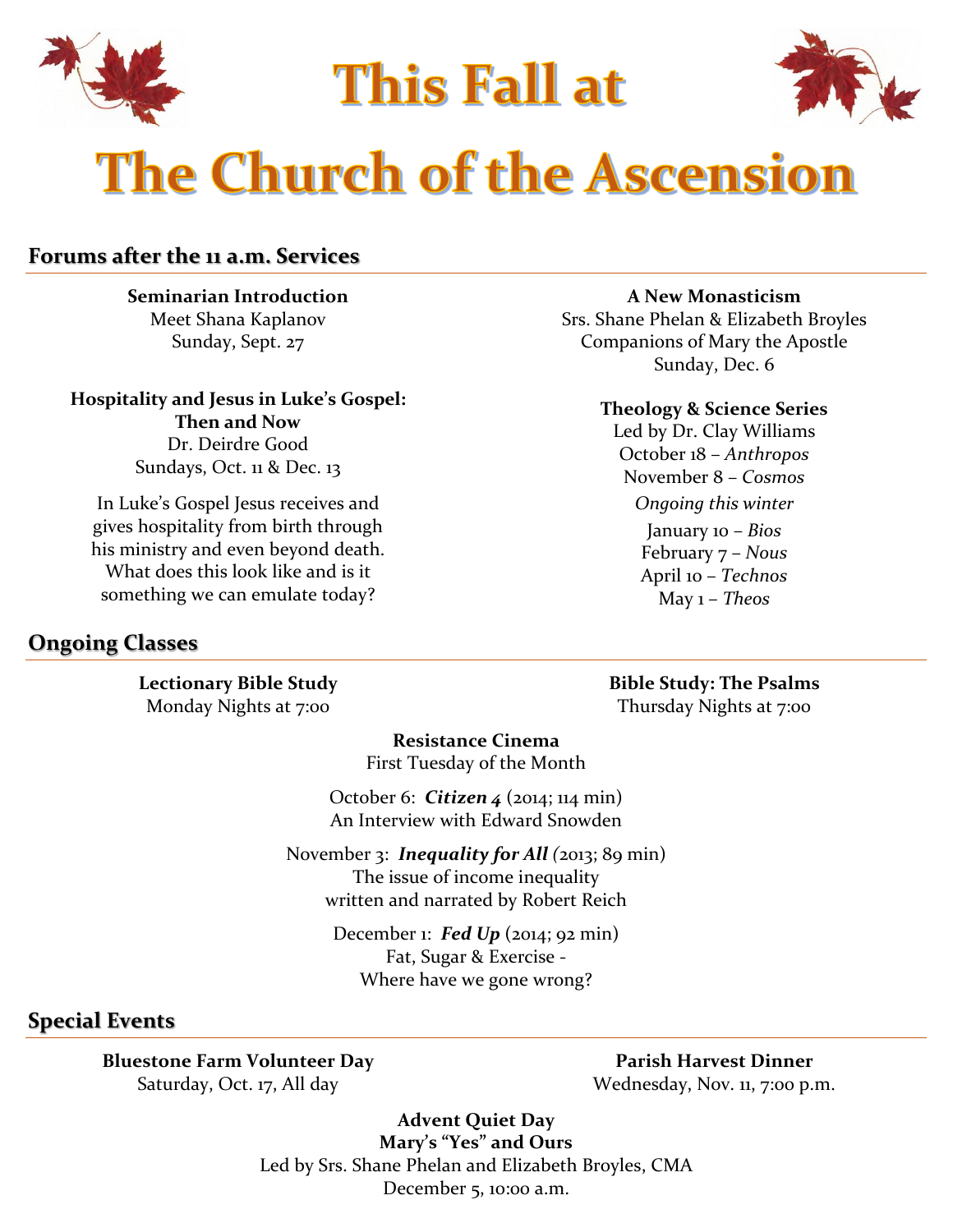

**This Fall at** 



# **The Church of the Ascension**

# **Forums after the 11 a.m. Services**

**Seminarian Introduction** Meet Shana Kaplanov Sunday, Sept. 27

**Hospitality and Jesus in Luke's Gospel: Then and Now** Dr. Deirdre Good Sundays, Oct. 11 & Dec. 13

In Luke's Gospel Jesus receives and gives hospitality from birth through his ministry and even beyond death. What does this look like and is it something we can emulate today?

#### **A New Monasticism**

Srs. Shane Phelan & Elizabeth Broyles Companions of Mary the Apostle Sunday, Dec. 6

#### **Theology & Science Series**

Led by Dr. Clay Williams October 18 – *Anthropos* November 8 – *Cosmos Ongoing this winter*

> January 10 – *Bios* February 7 – *Nous* April 10 – *Technos* May 1 – *Theos*

## **Ongoing Classes**

**Lectionary Bible Study** Monday Nights at 7:00

**Bible Study: The Psalms** Thursday Nights at 7:00

**Resistance Cinema** First Tuesday of the Month

October 6: *Citizen 4* (2014; 114 min) An Interview with Edward Snowden

November 3: *Inequality for All (*2013; 89 min) The issue of income inequality written and narrated by Robert Reich

> December 1: *Fed Up* (2014; 92 min) Fat, Sugar & Exercise - Where have we gone wrong?

## **Special Events**

**Bluestone Farm Volunteer Day** Saturday, Oct. 17, All day

**Parish Harvest Dinner** Wednesday, Nov. 11, 7:00 p.m.

**Advent Quiet Day Mary's "Yes" and Ours** Led by Srs. Shane Phelan and Elizabeth Broyles, CMA December 5, 10:00 a.m.